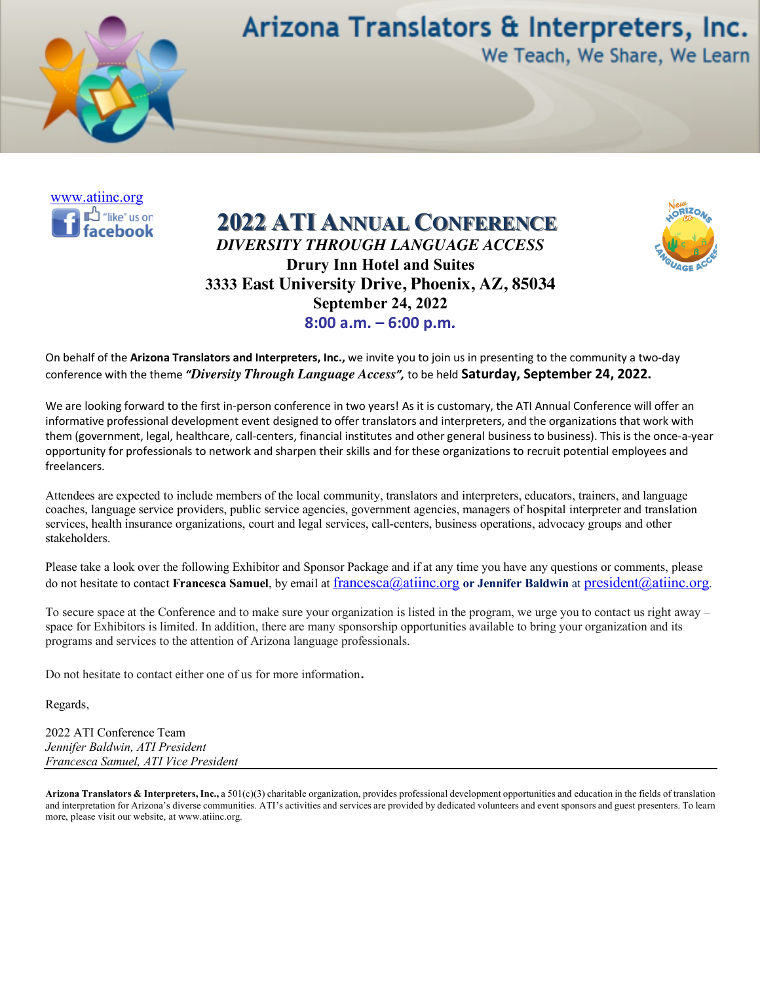

Arizona Translators & Interpreters, Inc. We Teach, We Share, We Learn



**2022 ATI ANNUAL CONFERENCE** *DIVERSITY THROUGH LANGUAGE ACCESS* **Drury Inn Hotel and Suites 3333 East University Drive, Phoenix, AZ, 85034 September 24, 2022 8:00 a.m. – 6:00 p.m***.*



On behalf of the **Arizona Translators and Interpreters, Inc.,** we invite you to join us in presenting to the community a two-day conference with the theme *"Diversity Through Language Access",* to be held **Saturday, September 24, 2022.**

We are looking forward to the first in-person conference in two years! As it is customary, the ATI Annual Conference will offer an informative professional development event designed to offer translators and interpreters, and the organizations that work with them (government, legal, healthcare, call-centers, financial institutes and other general business to business). This is the once-a-year opportunity for professionals to network and sharpen their skills and for these organizations to recruit potential employees and freelancers.

Attendees are expected to include members of the local community, translators and interpreters, educators, trainers, and language coaches, language service providers, public service agencies, government agencies, managers of hospital interpreter and translation services, health insurance organizations, court and legal services, call-centers, business operations, advocacy groups and other stakeholders.

Please take a look over the following Exhibitor and Sponsor Package and if at any time you have any questions or comments, please do not hesitate to contact **Francesca Samuel**, by email at francesca@atiinc.org **or Jennifer Baldwin** at president@atiinc.org.

To secure space at the Conference and to make sure your organization is listed in the program, we urge you to contact us right away – space for Exhibitors is limited. In addition, there are many sponsorship opportunities available to bring your organization and its programs and services to the attention of Arizona language professionals.

Do not hesitate to contact either one of us for more information.

Regards,

2022 ATI Conference Team *Jennifer Baldwin, ATI President Francesca Samuel, ATI Vice President*

**Arizona Translators & Interpreters, Inc.,** a 501(c)(3) charitable organization, provides professional development opportunities and education in the fields of translation and interpretation for Arizona's diverse communities. ATI's activities and services are provided by dedicated volunteers and event sponsors and guest presenters. To learn more, please visit our website, at www.atiinc.org.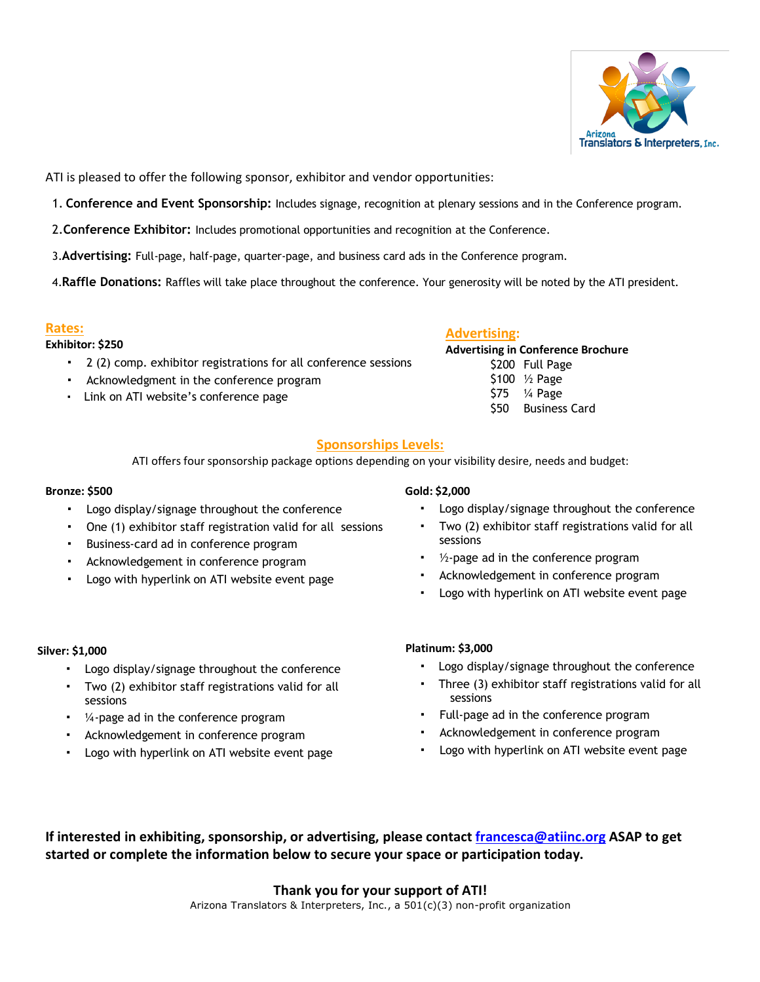

ATI is pleased to offer the following sponsor, exhibitor and vendor opportunities:

- 1. **Conference and Event Sponsorship:** Includes signage, recognition at plenary sessions and in the Conference program.
- 2.**Conference Exhibitor:** Includes promotional opportunities and recognition at the Conference.
- 3.**Advertising:** Full-page, half-page, quarter-page, and business card ads in the Conference program.

4.**Raffle Donations:** Raffles will take place throughout the conference. Your generosity will be noted by the ATI president.

#### **Rates:**

#### **Exhibitor: \$250**

- ! 2 (2) comp. exhibitor registrations for all conference sessions
- ! Acknowledgment in the conference program
- ! Link on ATI website's conference page

### **Advertising:**

**Advertising in Conference Brochure** \$200 Full Page \$100 ½ Page \$75 ¼ Page \$50 Business Card

### **Sponsorships Levels:**

ATI offers four sponsorship package options depending on your visibility desire, needs and budget:

#### **Bronze: \$500**

- ! Logo display/signage throughout the conference
- ! One (1) exhibitor staff registration valid for all sessions
- ! Business-card ad in conference program
- ! Acknowledgement in conference program
- Logo with hyperlink on ATI website event page

#### **Gold: \$2,000**

- ! Logo display/signage throughout the conference
- Two (2) exhibitor staff registrations valid for all sessions
- $\cdot$  1/2-page ad in the conference program
- Acknowledgement in conference program
- Logo with hyperlink on ATI website event page

#### **Silver: \$1,000**

- ! Logo display/signage throughout the conference
- ! Two (2) exhibitor staff registrations valid for all sessions
- $\frac{1}{4}$ -page ad in the conference program
- Acknowledgement in conference program
- Logo with hyperlink on ATI website event page

#### **Platinum: \$3,000**

- ! Logo display/signage throughout the conference
- ! Three (3) exhibitor staff registrations valid for all sessions
- ! Full-page ad in the conference program
- ! Acknowledgement in conference program
- ! Logo with hyperlink on ATI website event page

**If interested in exhibiting, sponsorship, or advertising, please contact francesca@atiinc.org ASAP to get started or complete the information below to secure your space or participation today.**

### **Thank you for your support of ATI!**

Arizona Translators & Interpreters, Inc., a 501(c)(3) non-profit organization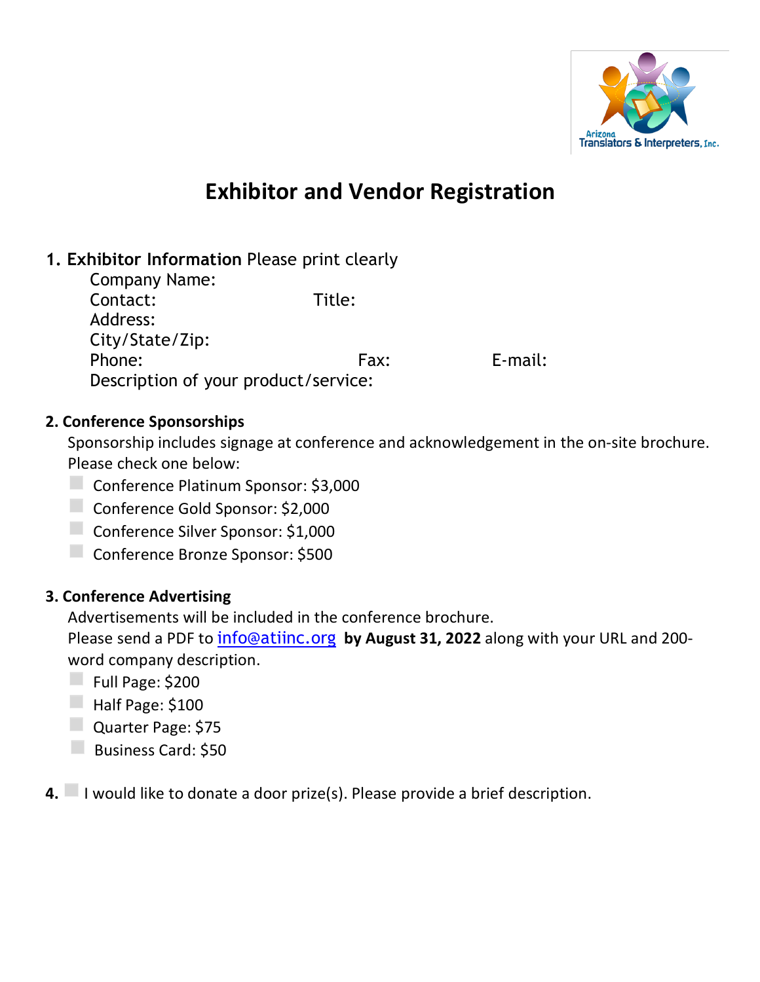

# **Exhibitor and Vendor Registration**

# **1. Exhibitor Information** Please print clearly

Company Name: Contact: Title: Address: City/State/Zip: Phone: E-mail: Fax: E-mail: Description of your product/service:

## **2. Conference Sponsorships**

Sponsorship includes signage at conference and acknowledgement in the on-site brochure. Please check one below:

- ◻Conference Platinum Sponsor: \$3,000
- ◻Conference Gold Sponsor: \$2,000
- ◻Conference Silver Sponsor: \$1,000
- ◻Conference Bronze Sponsor: \$500

# **3. Conference Advertising**

Advertisements will be included in the conference brochure.

Please send a PDF to info@atiinc.org **by August 31, 2022** along with your URL and 200 word company description.

- $\Box$  Full Page: \$200
- $\Box$  Half Page: \$100
- ◻Quarter Page: \$75
- **D** Business Card: \$50
- **4.** I would like to donate a door prize(s). Please provide a brief description.